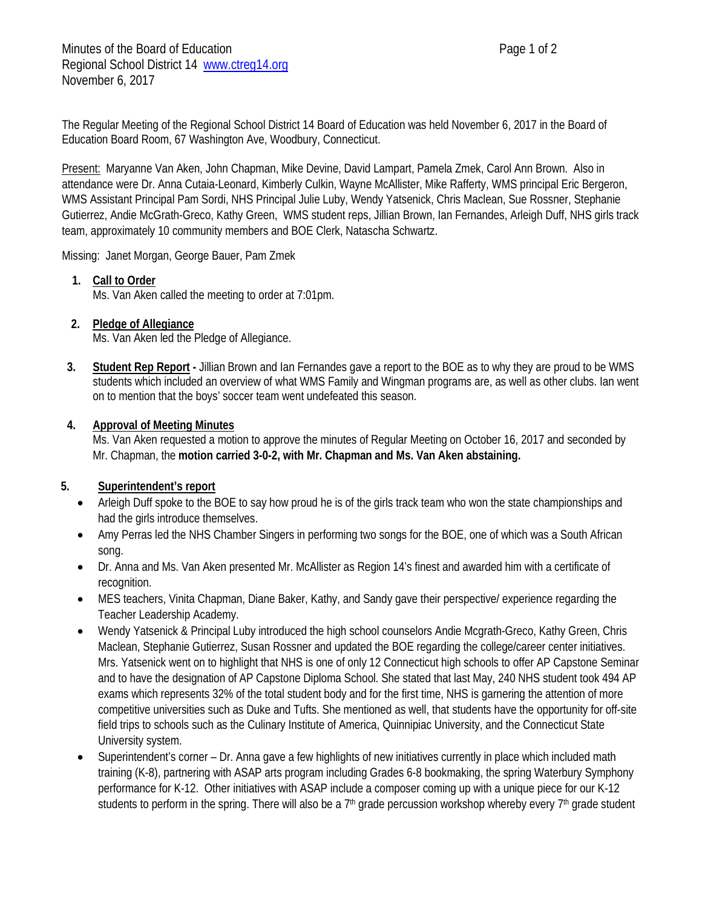The Regular Meeting of the Regional School District 14 Board of Education was held November 6, 2017 in the Board of Education Board Room, 67 Washington Ave, Woodbury, Connecticut.

Present: Maryanne Van Aken, John Chapman, Mike Devine, David Lampart, Pamela Zmek, Carol Ann Brown. Also in attendance were Dr. Anna Cutaia-Leonard, Kimberly Culkin, Wayne McAllister, Mike Rafferty, WMS principal Eric Bergeron, WMS Assistant Principal Pam Sordi, NHS Principal Julie Luby, Wendy Yatsenick, Chris Maclean, Sue Rossner, Stephanie Gutierrez, Andie McGrath-Greco, Kathy Green, WMS student reps, Jillian Brown, Ian Fernandes, Arleigh Duff, NHS girls track team, approximately 10 community members and BOE Clerk, Natascha Schwartz.

Missing: Janet Morgan, George Bauer, Pam Zmek

### **1. Call to Order**

Ms. Van Aken called the meeting to order at 7:01pm.

# **2. Pledge of Allegiance**

Ms. Van Aken led the Pledge of Allegiance.

**3. Student Rep Report -** Jillian Brown and Ian Fernandes gave a report to the BOE as to why they are proud to be WMS students which included an overview of what WMS Family and Wingman programs are, as well as other clubs. Ian went on to mention that the boys' soccer team went undefeated this season.

### **4. Approval of Meeting Minutes**

Ms. Van Aken requested a motion to approve the minutes of Regular Meeting on October 16, 2017 and seconded by Mr. Chapman, the **motion carried 3-0-2, with Mr. Chapman and Ms. Van Aken abstaining.**

### **5. Superintendent's report**

- Arleigh Duff spoke to the BOE to say how proud he is of the girls track team who won the state championships and had the girls introduce themselves.
- Amy Perras led the NHS Chamber Singers in performing two songs for the BOE, one of which was a South African song.
- Dr. Anna and Ms. Van Aken presented Mr. McAllister as Region 14's finest and awarded him with a certificate of recognition.
- MES teachers, Vinita Chapman, Diane Baker, Kathy, and Sandy gave their perspective/ experience regarding the Teacher Leadership Academy.
- Wendy Yatsenick & Principal Luby introduced the high school counselors Andie Mcgrath-Greco, Kathy Green, Chris Maclean, Stephanie Gutierrez, Susan Rossner and updated the BOE regarding the college/career center initiatives. Mrs. Yatsenick went on to highlight that NHS is one of only 12 Connecticut high schools to offer AP Capstone Seminar and to have the designation of AP Capstone Diploma School. She stated that last May, 240 NHS student took 494 AP exams which represents 32% of the total student body and for the first time, NHS is garnering the attention of more competitive universities such as Duke and Tufts. She mentioned as well, that students have the opportunity for off-site field trips to schools such as the Culinary Institute of America, Quinnipiac University, and the Connecticut State University system.
- Superintendent's corner Dr. Anna gave a few highlights of new initiatives currently in place which included math training (K-8), partnering with ASAP arts program including Grades 6-8 bookmaking, the spring Waterbury Symphony performance for K-12. Other initiatives with ASAP include a composer coming up with a unique piece for our K-12 students to perform in the spring. There will also be a  $7<sup>th</sup>$  grade percussion workshop whereby every  $7<sup>th</sup>$  grade student